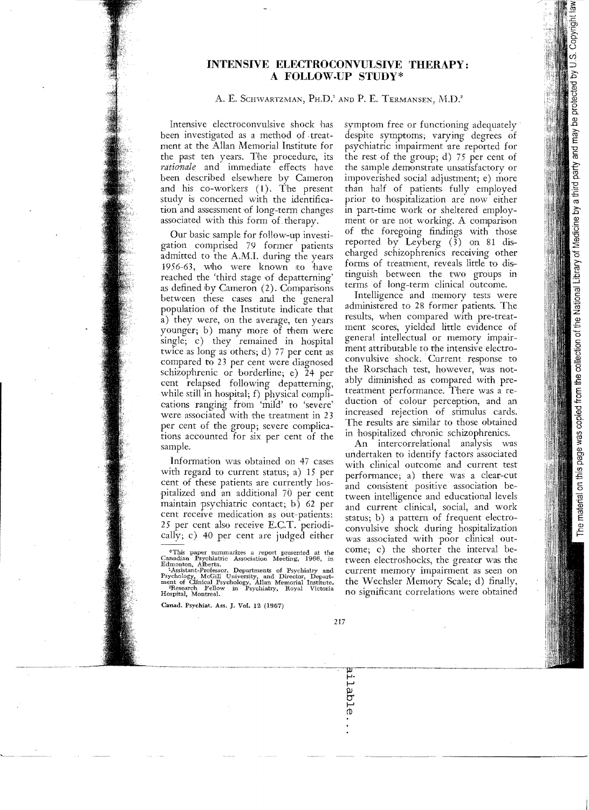## **INTENSIVE ELECTROCONVULSIVE THERAPY: A FOLLOW.UP STUny\***

## A. E. SCHWARTZMAN, PH.D.' AND P. E. TERMANSEN, M.D.'

Intensive electroconvulsive shock has been investigated as a method of treatment at the Allan Memorial Institute for the past ten years. The procedure, its *rationale* and immediate effects have been described elsewhere by Cameron and his co-workers (1). The present study is concerned with the identification and assessment of long-term changes associated with this form of, therapy.

Our basic sample for follow-up investigation comprised 79 former patients admitted to the A.M.1. during the years 1956-63, who were known ito have reached the 'third stage of depatterning' as defined by Cameron (2). Comparisons between these cases and the general population of the Institute indicate that a) they were, on the average, ten years younger; b) many more of them Were single; c) they remained in hospital twice as long as othets; d) 77 per cent as compared to 23 per cent were diagnosed schizophrenic or borderline; e) 24 per cent relapsed following depatterning, while still in hospital; f) physical complications ranging from 'mild' to 'severe' were associated with the treatment in 23 per cent of the group; severe complications accounted for six per cent of the sample.

Information was obtained on 47 cases with regard to current status; a)  $15$  per cent of these patients are currently hospitalized and an additional 70 per cent maintain psychiatric contact; b) 62 per cent receive medication as out-patients: 25 per cent also receive E.CT. periodically; c)  $40$  per cent are judged either.

Canad. Psychiat. Ass. J. Vol. 12 (1967)

symptom free or functioning adequately despite symptoms; varying degrees of psychiatric impairment are reported for the rest of the group; d) 75 per cent of the sample demonstrate unsatisfactory or impoverished social adjustment; e) more than haIf of patients fully employed prior to hospitalization are now either in part-time work or sheltered employment or are not working. A comparison of the foregoing findings with those reported by Leyberg (3) on 81 discharged schizophrenics receiving other forms of treatment, reveals little to distinguish between the two groups in terms of long-term clinical outcome.

Intelligence and memory tests were administered to 28 former patients. The results, when compared with pre-treatment scores, yielded little evidence of general intellectual or memory impairment attributable to the intensive electroconvulsive shock. Current response to the Rorschach test, however, was notably diminished as compared with pretreatment performance. There was a reduction of colour perception, and an increased rejection of stimulus cards. The results are similar to those obtained in hospitalized ohronic schizophrenics.

An intercorrelational analysis was undertaken to identify factors associated with clinical outcome and current test performance; a) there was a clear-cut and consistent positive association between intelligence and educational levels and current clinical, oocial, and work status; b) a pattern of frequent electroconvulsive shock during hospitalization was associated with poor clinical outcome; c) the shorter the interval between electroshocks, the greater was the current memory impairment as seen on the Wechsler Memory Scale; d) finally, no significant correlations were obtained

<sup>&</sup>lt;sup>9</sup>This paper summarizes a report presented at the Canadian Psychiatric Association Meeting, 1966, in Edmonton, Alberta.<br>Edmonton, Alberta.<br><sup>1</sup>Assistant-Professor, Departments of Psychiatry and Psychology, McGill Universi Hospital, Montreal.